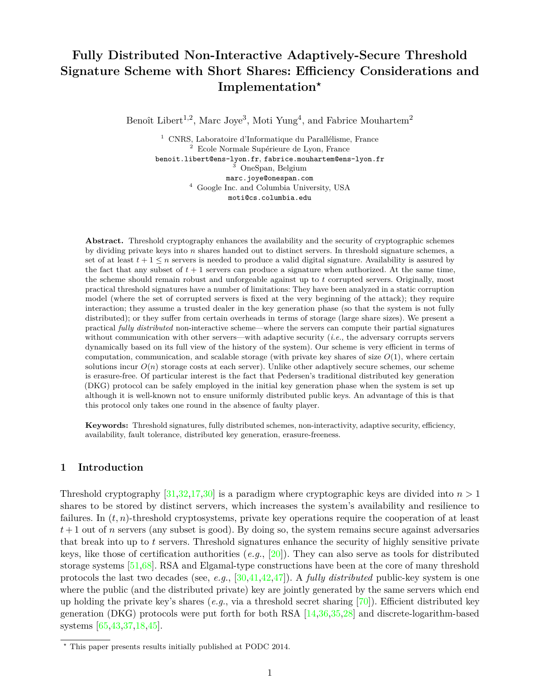# **Fully Distributed Non-Interactive Adaptively-Secure Threshold Signature Scheme with Short Shares: Efficiency Considerations and Implementation***?*

Benoît Libert<sup>1,2</sup>, Marc Joye<sup>3</sup>, Moti Yung<sup>4</sup>, and Fabrice Mouhartem<sup>2</sup>

<sup>1</sup> CNRS, Laboratoire d'Informatique du Parallélisme, France <sup>2</sup> Ecole Normale Supérieure de Lyon, France benoit.libert@ens-lyon.fr, fabrice.mouhartem@ens-lyon.fr <sup>3</sup> OneSpan, Belgium marc.joye@onespan.com  $^4\,$  Google Inc. and Columbia University, USA moti@cs.columbia.edu

**Abstract.** Threshold cryptography enhances the availability and the security of cryptographic schemes by dividing private keys into *n* shares handed out to distinct servers. In threshold signature schemes, a set of at least  $t + 1 \leq n$  servers is needed to produce a valid digital signature. Availability is assured by the fact that any subset of  $t + 1$  servers can produce a signature when authorized. At the same time, the scheme should remain robust and unforgeable against up to *t* corrupted servers. Originally, most practical threshold signatures have a number of limitations: They have been analyzed in a static corruption model (where the set of corrupted servers is fixed at the very beginning of the attack); they require interaction; they assume a trusted dealer in the key generation phase (so that the system is not fully distributed); or they suffer from certain overheads in terms of storage (large share sizes). We present a practical *fully distributed* non-interactive scheme—where the servers can compute their partial signatures without communication with other servers—with adaptive security (*i.e.*, the adversary corrupts servers dynamically based on its full view of the history of the system). Our scheme is very efficient in terms of computation, communication, and scalable storage (with private key shares of size  $O(1)$ , where certain solutions incur  $O(n)$  storage costs at each server). Unlike other adaptively secure schemes, our scheme is erasure-free. Of particular interest is the fact that Pedersen's traditional distributed key generation (DKG) protocol can be safely employed in the initial key generation phase when the system is set up although it is well-known not to ensure uniformly distributed public keys. An advantage of this is that this protocol only takes one round in the absence of faulty player.

**Keywords:** Threshold signatures, fully distributed schemes, non-interactivity, adaptive security, efficiency, availability, fault tolerance, distributed key generation, erasure-freeness.

# **1 Introduction**

Threshold cryptography  $[31,32,17,30]$  $[31,32,17,30]$  $[31,32,17,30]$  $[31,32,17,30]$  is a paradigm where cryptographic keys are divided into  $n > 1$ shares to be stored by distinct servers, which increases the system's availability and resilience to failures. In  $(t, n)$ -threshold cryptosystems, private key operations require the cooperation of at least  $t+1$  out of *n* servers (any subset is good). By doing so, the system remains secure against adversaries that break into up to *t* servers. Threshold signatures enhance the security of highly sensitive private keys, like those of certification authorities (*e.g.*, [\[20\]](#page-9-1)). They can also serve as tools for distributed storage systems [\[51](#page-10-3)[,68\]](#page-11-0). RSA and Elgamal-type constructions have been at the core of many threshold protocols the last two decades (see, *e.g.*, [\[30](#page-10-2)[,41](#page-10-4)[,42](#page-10-5)[,47\]](#page-10-6)). A *fully distributed* public-key system is one where the public (and the distributed private) key are jointly generated by the same servers which end up holding the private key's shares (*e.g.*, via a threshold secret sharing [\[70\]](#page-11-1)). Efficient distributed key generation (DKG) protocols were put forth for both RSA [\[14,](#page-9-2)[36](#page-10-7)[,35](#page-10-8)[,28\]](#page-10-9) and discrete-logarithm-based systems [\[65,](#page-11-2)[43,](#page-10-10)[37,](#page-10-11)[18,](#page-9-3)[45\]](#page-10-12).

*<sup>?</sup>* This paper presents results initially published at PODC 2014.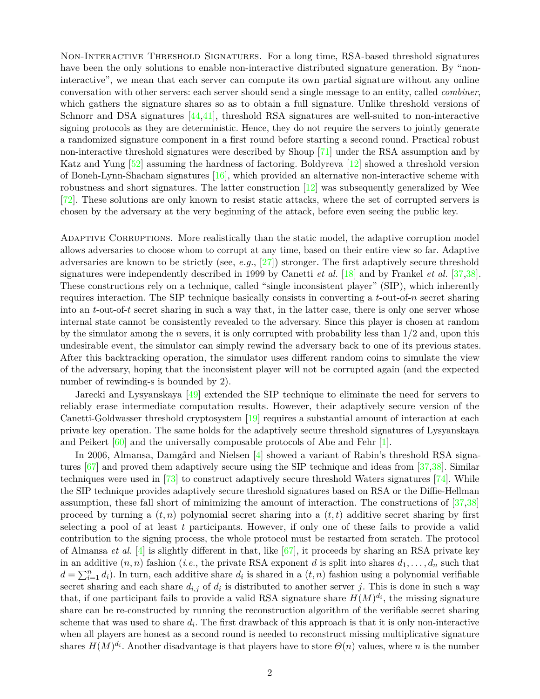Non-Interactive Threshold Signatures. For a long time, RSA-based threshold signatures have been the only solutions to enable non-interactive distributed signature generation. By "noninteractive", we mean that each server can compute its own partial signature without any online conversation with other servers: each server should send a single message to an entity, called *combiner*, which gathers the signature shares so as to obtain a full signature. Unlike threshold versions of Schnorr and DSA signatures  $[44,41]$  $[44,41]$ , threshold RSA signatures are well-suited to non-interactive signing protocols as they are deterministic. Hence, they do not require the servers to jointly generate a randomized signature component in a first round before starting a second round. Practical robust non-interactive threshold signatures were described by Shoup [\[71\]](#page-11-3) under the RSA assumption and by Katz and Yung [\[52\]](#page-10-14) assuming the hardness of factoring. Boldyreva [\[12\]](#page-9-4) showed a threshold version of Boneh-Lynn-Shacham signatures [\[16\]](#page-9-5), which provided an alternative non-interactive scheme with robustness and short signatures. The latter construction [\[12\]](#page-9-4) was subsequently generalized by Wee [\[72\]](#page-11-4). These solutions are only known to resist static attacks, where the set of corrupted servers is chosen by the adversary at the very beginning of the attack, before even seeing the public key.

Adaptive Corruptions. More realistically than the static model, the adaptive corruption model allows adversaries to choose whom to corrupt at any time, based on their entire view so far. Adaptive adversaries are known to be strictly (see, *e.g.*, [\[27\]](#page-10-15)) stronger. The first adaptively secure threshold signatures were independently described in 1999 by Canetti *et al.* [\[18\]](#page-9-3) and by Frankel *et al.* [\[37,](#page-10-11)[38\]](#page-10-16). These constructions rely on a technique, called "single inconsistent player" (SIP), which inherently requires interaction. The SIP technique basically consists in converting a *t*-out-of-*n* secret sharing into an *t*-out-of-*t* secret sharing in such a way that, in the latter case, there is only one server whose internal state cannot be consistently revealed to the adversary. Since this player is chosen at random by the simulator among the *n* severs, it is only corrupted with probability less than 1*/*2 and, upon this undesirable event, the simulator can simply rewind the adversary back to one of its previous states. After this backtracking operation, the simulator uses different random coins to simulate the view of the adversary, hoping that the inconsistent player will not be corrupted again (and the expected number of rewinding-s is bounded by 2).

Jarecki and Lysyanskaya [\[49\]](#page-10-17) extended the SIP technique to eliminate the need for servers to reliably erase intermediate computation results. However, their adaptively secure version of the Canetti-Goldwasser threshold cryptosystem [\[19\]](#page-9-6) requires a substantial amount of interaction at each private key operation. The same holds for the adaptively secure threshold signatures of Lysyanskaya and Peikert [\[60\]](#page-11-5) and the universally composable protocols of Abe and Fehr [\[1\]](#page-9-7).

In 2006, Almansa, Damgård and Nielsen [\[4\]](#page-9-8) showed a variant of Rabin's threshold RSA signatures [\[67\]](#page-11-6) and proved them adaptively secure using the SIP technique and ideas from [\[37,](#page-10-11)[38\]](#page-10-16). Similar techniques were used in  $\left[73\right]$  to construct adaptively secure threshold Waters signatures  $\left[74\right]$ . While the SIP technique provides adaptively secure threshold signatures based on RSA or the Diffie-Hellman assumption, these fall short of minimizing the amount of interaction. The constructions of [\[37,](#page-10-11)[38\]](#page-10-16) proceed by turning a  $(t, n)$  polynomial secret sharing into a  $(t, t)$  additive secret sharing by first selecting a pool of at least *t* participants. However, if only one of these fails to provide a valid contribution to the signing process, the whole protocol must be restarted from scratch. The protocol of Almansa *et al.* [\[4\]](#page-9-8) is slightly different in that, like [\[67\]](#page-11-6), it proceeds by sharing an RSA private key in an additive  $(n, n)$  fashion (*i.e.*, the private RSA exponent *d* is split into shares  $d_1, \ldots, d_n$  such that  $d = \sum_{i=1}^{n} d_i$ ). In turn, each additive share  $d_i$  is shared in a  $(t, n)$  fashion using a polynomial verifiable secret sharing and each share  $d_{i,j}$  of  $d_i$  is distributed to another server *j*. This is done in such a way that, if one participant fails to provide a valid RSA signature share  $H(M)^{d_i}$ , the missing signature share can be re-constructed by running the reconstruction algorithm of the verifiable secret sharing scheme that was used to share *d<sup>i</sup>* . The first drawback of this approach is that it is only non-interactive when all players are honest as a second round is needed to reconstruct missing multiplicative signature shares  $H(M)^{d_i}$ . Another disadvantage is that players have to store  $\Theta(n)$  values, where *n* is the number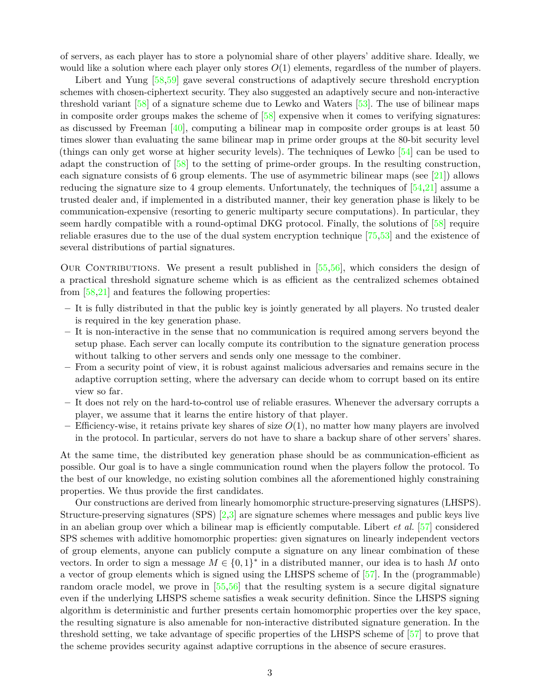of servers, as each player has to store a polynomial share of other players' additive share. Ideally, we would like a solution where each player only stores *O*(1) elements, regardless of the number of players.

Libert and Yung [\[58](#page-11-9)[,59\]](#page-11-10) gave several constructions of adaptively secure threshold encryption schemes with chosen-ciphertext security. They also suggested an adaptively secure and non-interactive threshold variant [\[58\]](#page-11-9) of a signature scheme due to Lewko and Waters [\[53\]](#page-10-18). The use of bilinear maps in composite order groups makes the scheme of [\[58\]](#page-11-9) expensive when it comes to verifying signatures: as discussed by Freeman  $[40]$ , computing a bilinear map in composite order groups is at least 50 times slower than evaluating the same bilinear map in prime order groups at the 80-bit security level (things can only get worse at higher security levels). The techniques of Lewko [\[54\]](#page-10-20) can be used to adapt the construction of [\[58\]](#page-11-9) to the setting of prime-order groups. In the resulting construction, each signature consists of 6 group elements. The use of asymmetric bilinear maps (see  $[21]$ ) allows reducing the signature size to 4 group elements. Unfortunately, the techniques of  $[54,21]$  $[54,21]$  assume a trusted dealer and, if implemented in a distributed manner, their key generation phase is likely to be communication-expensive (resorting to generic multiparty secure computations). In particular, they seem hardly compatible with a round-optimal DKG protocol. Finally, the solutions of [\[58\]](#page-11-9) require reliable erasures due to the use of the dual system encryption technique [\[75](#page-11-11)[,53\]](#page-10-18) and the existence of several distributions of partial signatures.

OUR CONTRIBUTIONS. We present a result published in  $[55,56]$  $[55,56]$ , which considers the design of a practical threshold signature scheme which is as efficient as the centralized schemes obtained from [\[58](#page-11-9)[,21\]](#page-9-9) and features the following properties:

- **–** It is fully distributed in that the public key is jointly generated by all players. No trusted dealer is required in the key generation phase.
- **–** It is non-interactive in the sense that no communication is required among servers beyond the setup phase. Each server can locally compute its contribution to the signature generation process without talking to other servers and sends only one message to the combiner.
- **–** From a security point of view, it is robust against malicious adversaries and remains secure in the adaptive corruption setting, where the adversary can decide whom to corrupt based on its entire view so far.
- **–** It does not rely on the hard-to-control use of reliable erasures. Whenever the adversary corrupts a player, we assume that it learns the entire history of that player.
- **–** Efficiency-wise, it retains private key shares of size *O*(1), no matter how many players are involved in the protocol. In particular, servers do not have to share a backup share of other servers' shares.

At the same time, the distributed key generation phase should be as communication-efficient as possible. Our goal is to have a single communication round when the players follow the protocol. To the best of our knowledge, no existing solution combines all the aforementioned highly constraining properties. We thus provide the first candidates.

Our constructions are derived from linearly homomorphic structure-preserving signatures (LHSPS). Structure-preserving signatures (SPS) [\[2,](#page-9-10)[3\]](#page-9-11) are signature schemes where messages and public keys live in an abelian group over which a bilinear map is efficiently computable. Libert *et al.* [\[57\]](#page-10-23) considered SPS schemes with additive homomorphic properties: given signatures on linearly independent vectors of group elements, anyone can publicly compute a signature on any linear combination of these vectors. In order to sign a message  $M \in \{0,1\}^*$  in a distributed manner, our idea is to hash M onto a vector of group elements which is signed using the LHSPS scheme of [\[57\]](#page-10-23). In the (programmable) random oracle model, we prove in [\[55](#page-10-21)[,56\]](#page-10-22) that the resulting system is a secure digital signature even if the underlying LHSPS scheme satisfies a weak security definition. Since the LHSPS signing algorithm is deterministic and further presents certain homomorphic properties over the key space, the resulting signature is also amenable for non-interactive distributed signature generation. In the threshold setting, we take advantage of specific properties of the LHSPS scheme of [\[57\]](#page-10-23) to prove that the scheme provides security against adaptive corruptions in the absence of secure erasures.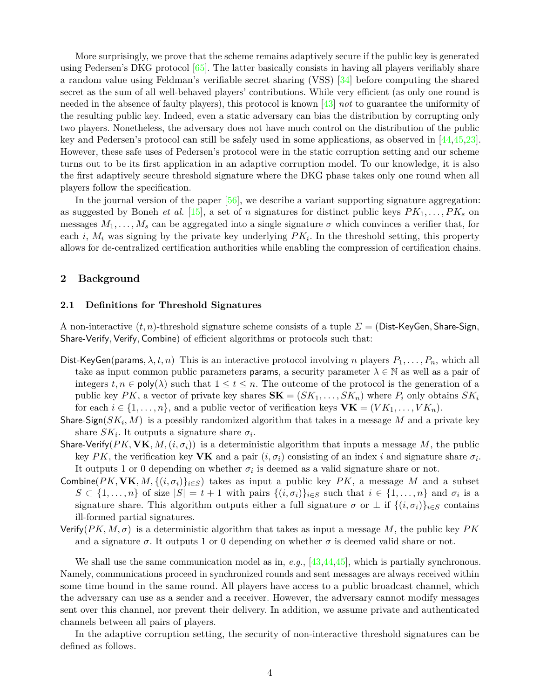More surprisingly, we prove that the scheme remains adaptively secure if the public key is generated using Pedersen's DKG protocol [\[65\]](#page-11-2). The latter basically consists in having all players verifiably share a random value using Feldman's verifiable secret sharing (VSS) [\[34\]](#page-10-24) before computing the shared secret as the sum of all well-behaved players' contributions. While very efficient (as only one round is needed in the absence of faulty players), this protocol is known [\[43\]](#page-10-10) *not* to guarantee the uniformity of the resulting public key. Indeed, even a static adversary can bias the distribution by corrupting only two players. Nonetheless, the adversary does not have much control on the distribution of the public key and Pedersen's protocol can still be safely used in some applications, as observed in [\[44,](#page-10-13)[45,](#page-10-12)[23\]](#page-9-12). However, these safe uses of Pedersen's protocol were in the static corruption setting and our scheme turns out to be its first application in an adaptive corruption model. To our knowledge, it is also the first adaptively secure threshold signature where the DKG phase takes only one round when all players follow the specification.

In the journal version of the paper [\[56\]](#page-10-22), we describe a variant supporting signature aggregation: as suggested by Boneh *et al.* [\[15\]](#page-9-13), a set of *n* signatures for distinct public keys *PK*1*, . . . , PK<sup>s</sup>* on messages  $M_1, \ldots, M_s$  can be aggregated into a single signature  $\sigma$  which convinces a verifier that, for each  $i$ ,  $M_i$  was signing by the private key underlying  $PK_i$ . In the threshold setting, this property allows for de-centralized certification authorities while enabling the compression of certification chains.

# **2 Background**

# **2.1 Definitions for Threshold Signatures**

A non-interactive (*t, n*)-threshold signature scheme consists of a tuple *Σ* = (Dist-KeyGen*,* Share-Sign*,* Share-Verify*,* Verify*,* Combine) of efficient algorithms or protocols such that:

- Dist-KeyGen(params,  $\lambda, t, n$ ) This is an interactive protocol involving *n* players  $P_1, \ldots, P_n$ , which all take as input common public parameters **params**, a security parameter  $\lambda \in \mathbb{N}$  as well as a pair of integers  $t, n \in \text{poly}(\lambda)$  such that  $1 \leq t \leq n$ . The outcome of the protocol is the generation of a public key  $PK$ , a vector of private key shares  $\mathbf{SK} = (SK_1, \ldots, SK_n)$  where  $P_i$  only obtains  $SK_i$ for each  $i \in \{1, \ldots, n\}$ , and a public vector of verification keys  $\mathbf{VK} = (VK_1, \ldots, VK_n)$ .
- Share-Sign(*SK<sup>i</sup> , M*) is a possibly randomized algorithm that takes in a message *M* and a private key share  $SK_i$ . It outputs a signature share  $\sigma_i$ .
- Share-Verify( $PK$ ,  $VK$ ,  $M$ ,  $(i, \sigma_i)$ ) is a deterministic algorithm that inputs a message M, the public key  $PK$ , the verification key **VK** and a pair  $(i, \sigma_i)$  consisting of an index *i* and signature share  $\sigma_i$ . It outputs 1 or 0 depending on whether  $\sigma_i$  is deemed as a valid signature share or not.
- Combine( $PK$ ,  $\mathbf{VK}$ ,  $M$ ,  $\{(i, \sigma_i)\}_{i \in S}$ ) takes as input a public key  $PK$ , a message M and a subset  $S \subset \{1, \ldots, n\}$  of size  $|S| = t + 1$  with pairs  $\{(i, \sigma_i)\}_{i \in S}$  such that  $i \in \{1, \ldots, n\}$  and  $\sigma_i$  is a signature share. This algorithm outputs either a full signature  $\sigma$  or  $\perp$  if  $\{(i, \sigma_i)\}_{i \in S}$  contains ill-formed partial signatures.
- Verify( $PK, M, \sigma$ ) is a deterministic algorithm that takes as input a message M, the public key  $PK$ and a signature  $\sigma$ . It outputs 1 or 0 depending on whether  $\sigma$  is deemed valid share or not.

We shall use the same communication model as in, *e.g.*, [\[43,](#page-10-10)[44,](#page-10-13)[45\]](#page-10-12), which is partially synchronous. Namely, communications proceed in synchronized rounds and sent messages are always received within some time bound in the same round. All players have access to a public broadcast channel, which the adversary can use as a sender and a receiver. However, the adversary cannot modify messages sent over this channel, nor prevent their delivery. In addition, we assume private and authenticated channels between all pairs of players.

<span id="page-3-0"></span>In the adaptive corruption setting, the security of non-interactive threshold signatures can be defined as follows.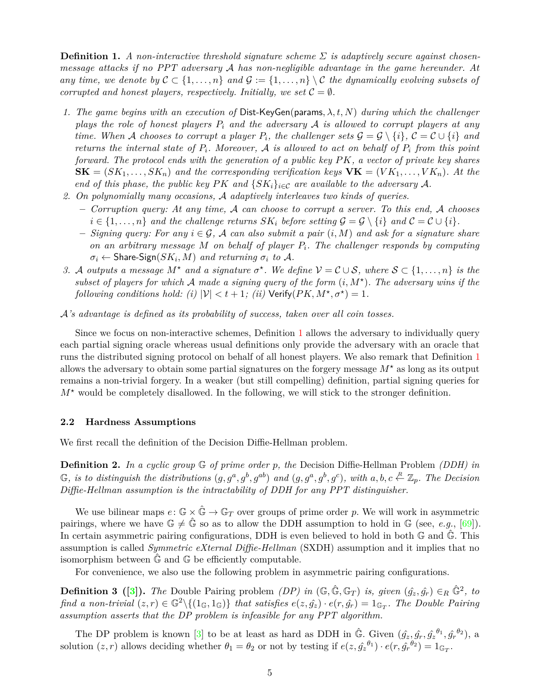**Definition 1.** *A non-interactive threshold signature scheme Σ is adaptively secure against chosenmessage attacks if no PPT adversary* A *has non-negligible advantage in the game hereunder. At any time, we denote by*  $C \subset \{1, \ldots, n\}$  *and*  $G := \{1, \ldots, n\} \setminus C$  *the dynamically evolving subsets of corrupted and honest players, respectively. Initially, we set*  $C = \emptyset$ *.* 

- *1. The game begins with an execution of* Dist-KeyGen(params*, λ, t, N*) *during which the challenger plays the role of honest players P<sup>i</sup> and the adversary* A *is allowed to corrupt players at any time. When* A *chooses to corrupt a player*  $P_i$ *, the challenger sets*  $\mathcal{G} = \mathcal{G} \setminus \{i\}$ *,*  $\mathcal{C} = \mathcal{C} \cup \{i\}$  and *returns the internal state of Pi. Moreover,* A *is allowed to act on behalf of P<sup>i</sup> from this point forward. The protocol ends with the generation of a public key PK, a vector of private key shares*  $\mathbf{SK} = (SK_1, \ldots, SK_n)$  and the corresponding verification keys  $\mathbf{VK} = (VK_1, \ldots, VK_n)$ . At the *end of this phase, the public key*  $PK$  *and*  $\{SK_i\}_{i \in \mathcal{C}}$  *are available to the adversary* A.
- *2. On polynomially many occasions,* A *adaptively interleaves two kinds of queries.*
	- **–** *Corruption query: At any time,* A *can choose to corrupt a server. To this end,* A *chooses*  $i \in \{1, \ldots, n\}$  and the challenge returns  $SK_i$  before setting  $\mathcal{G} = \mathcal{G} \setminus \{i\}$  and  $\mathcal{C} = \mathcal{C} \cup \{i\}$ .
	- **–** *Signing query: For any i* ∈ G*,* A *can also submit a pair* (*i, M*) *and ask for a signature share on an arbitrary message M on behalf of player Pi. The challenger responds by computing*  $\sigma_i \leftarrow$  Share-Sign $(SK_i, M)$  *and returning*  $\sigma_i$  *to*  $A$ *.*
- *3.* A outputs a message  $M^*$  and a signature  $\sigma^*$ . We define  $\mathcal{V} = \mathcal{C} \cup \mathcal{S}$ , where  $\mathcal{S} \subset \{1, \ldots, n\}$  is the *subset of players for which* A *made a signing query of the form* (*i, M?* )*. The adversary wins if the following conditions hold: (i)*  $|\mathcal{V}| < t + 1$ ; *(ii)* Verify $(PK, M^{\star}, \sigma^{\star}) = 1$ *.*

A*'s advantage is defined as its probability of success, taken over all coin tosses.*

Since we focus on non-interactive schemes, Definition [1](#page-3-0) allows the adversary to individually query each partial signing oracle whereas usual definitions only provide the adversary with an oracle that runs the distributed signing protocol on behalf of all honest players. We also remark that Definition [1](#page-3-0) allows the adversary to obtain some partial signatures on the forgery message *M?* as long as its output remains a non-trivial forgery. In a weaker (but still compelling) definition, partial signing queries for  $M^*$  would be completely disallowed. In the following, we will stick to the stronger definition.

# **2.2 Hardness Assumptions**

We first recall the definition of the Decision Diffie-Hellman problem.

**Definition 2.** *In a cyclic group* G *of prime order p, the* Decision Diffie-Hellman Problem *(DDH) in*  $\mathbb G$ , is to distinguish the distributions  $(g, g^a, g^b, g^{ab})$  and  $(g, g^a, g^b, g^c)$ , with  $a, b, c \stackrel{R}{\leftarrow} \mathbb Z_p$ . The Decision *Diffie-Hellman assumption is the intractability of DDH for any PPT distinguisher.*

We use bilinear maps  $e: \mathbb{G} \times \hat{\mathbb{G}} \to \mathbb{G}_T$  over groups of prime order p. We will work in asymmetric pairings, where we have  $\mathbb{G} \neq \hat{\mathbb{G}}$  so as to allow the DDH assumption to hold in  $\mathbb{G}$  (see, *e.g.*, [\[69\]](#page-11-12)). In certain asymmetric pairing configurations, DDH is even believed to hold in both  $\mathbb{G}$  and  $\hat{\mathbb{G}}$ . This assumption is called *Symmetric eXternal Diffie-Hellman* (SXDH) assumption and it implies that no isomorphism between  $\mathbb{G}$  and  $\mathbb{G}$  be efficiently computable.

For convenience, we also use the following problem in asymmetric pairing configurations.

**Definition 3** ([\[3\]](#page-9-11)). The Double Pairing problem *(DP) in*  $(\mathbb{G}, \hat{\mathbb{G}}, \mathbb{G}_T)$  *is, given*  $(\hat{g}_z, \hat{g}_r) \in_R \hat{\mathbb{G}}^2$ , to *find a non-trivial*  $(z, r) \in \mathbb{G}^2 \setminus \{(1_{\mathbb{G}}, 1_{\mathbb{G}})\}\$  *that satisfies*  $e(z, \hat{g_z}) \cdot e(r, \hat{g_r}) = 1_{\mathbb{G}_T}$ . The Double Pairing *assumption asserts that the DP problem is infeasible for any PPT algorithm.*

<span id="page-4-0"></span>The DP problem is known [\[3\]](#page-9-11) to be at least as hard as DDH in  $\hat{\mathbb{G}}$ . Given  $(\hat{g}_z, \hat{g}_r, \hat{g}_z^{\theta_1}, \hat{g}_r^{\theta_2})$ , a solution  $(z, r)$  allows deciding whether  $\theta_1 = \theta_2$  or not by testing if  $e(z, \hat{g_z}^{\theta_1}) \cdot e(r, \hat{g_r}^{\theta_2}) = 1_{\mathbb{G}_T}$ .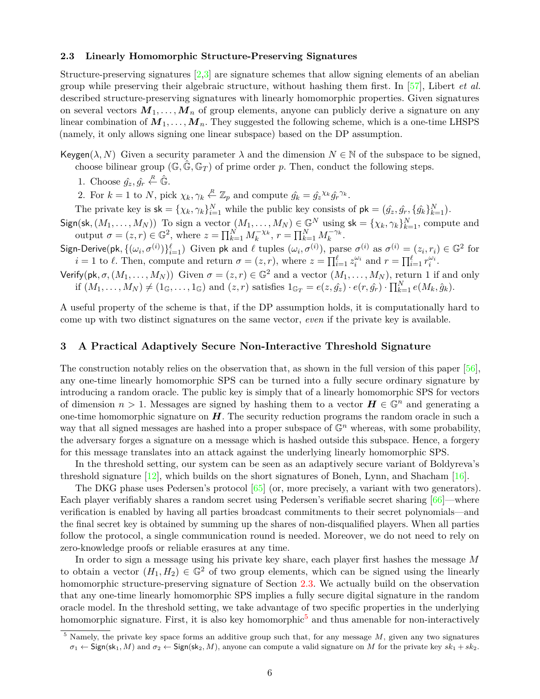#### **2.3 Linearly Homomorphic Structure-Preserving Signatures**

Structure-preserving signatures  $\left[2,3\right]$  $\left[2,3\right]$  $\left[2,3\right]$  are signature schemes that allow signing elements of an abelian group while preserving their algebraic structure, without hashing them first. In [\[57\]](#page-10-23), Libert *et al.* described structure-preserving signatures with linearly homomorphic properties. Given signatures on several vectors  $M_1, \ldots, M_n$  of group elements, anyone can publicly derive a signature on any linear combination of  $M_1, \ldots, M_n$ . They suggested the following scheme, which is a one-time LHSPS (namely, it only allows signing one linear subspace) based on the DP assumption.

Keygen( $\lambda$ , N) Given a security parameter  $\lambda$  and the dimension  $N \in \mathbb{N}$  of the subspace to be signed, choose bilinear group  $(\mathbb{G}, \hat{\mathbb{G}}, \mathbb{G}_T)$  of prime order p. Then, conduct the following steps.

1. Choose  $\hat{g}_z, \hat{g}_r \stackrel{R}{\leftarrow} \hat{\mathbb{G}}$ .

2. For  $k = 1$  to *N*, pick  $\chi_k, \gamma_k \stackrel{R}{\leftarrow} \mathbb{Z}_p$  and compute  $\hat{g}_k = \hat{g}_z^{\chi_k} \hat{g}_r^{\gamma_k}$ .

The private key is  $sk = \{\chi_k, \gamma_k\}_{i=1}^N$  while the public key consists of  $pk = (\hat{g}_z, \hat{g}_r, \{\hat{g}_k\}_{k=1}^N)$ .

 $Sign(\mathsf{sk}, (M_1, \ldots, M_N))$  To sign a vector  $(M_1, \ldots, M_N) \in \mathbb{G}^N$  using  $\mathsf{sk} = \{\chi_k, \gamma_k\}_{k=1}^N$ , compute and output  $\sigma = (z, r) \in \mathbb{G}^2$ , where  $z = \prod_{k=1}^{N} M_k^{-\chi_k}$ ,  $r = \prod_{k=1}^{N} M_k^{-\gamma_k}$ .

Sign-Derive(pk,  $\{(\omega_i, \sigma^{(i)})\}_{i=1}^{\ell}$ ) Given pk and  $\ell$  tuples  $(\omega_i, \sigma^{(i)})$ , parse  $\sigma^{(i)}$  as  $\sigma^{(i)} = (z_i, r_i) \in \mathbb{G}^2$  for  $i = 1$  to  $\ell$ . Then, compute and return  $\sigma = (z, r)$ , where  $z = \prod_{i=1}^{\ell} z_i^{\omega_i}$  and  $r = \prod_{i=1}^{\ell} r_i^{\omega_i}$ .

Verify(pk,  $\sigma$ ,  $(M_1, \ldots, M_N)$ ) Given  $\sigma = (z, r) \in \mathbb{G}^2$  and a vector  $(M_1, \ldots, M_N)$ , return 1 if and only if  $(M_1, \ldots, M_N) \neq (1_{\mathbb{G}}, \ldots, 1_{\mathbb{G}})$  and  $(z, r)$  satisfies  $1_{\mathbb{G}_T} = e(z, \hat{g}_z) \cdot e(r, \hat{g}_r) \cdot \prod_{k=1}^N e(M_k, \hat{g}_k)$ .

A useful property of the scheme is that, if the DP assumption holds, it is computationally hard to come up with two distinct signatures on the same vector, *even* if the private key is available.

### **3 A Practical Adaptively Secure Non-Interactive Threshold Signature**

The construction notably relies on the observation that, as shown in the full version of this paper [\[56\]](#page-10-22), any one-time linearly homomorphic SPS can be turned into a fully secure ordinary signature by introducing a random oracle. The public key is simply that of a linearly homomorphic SPS for vectors of dimension  $n > 1$ . Messages are signed by hashing them to a vector  $H \in \mathbb{G}^n$  and generating a one-time homomorphic signature on *H*. The security reduction programs the random oracle in such a way that all signed messages are hashed into a proper subspace of  $\mathbb{G}^n$  whereas, with some probability, the adversary forges a signature on a message which is hashed outside this subspace. Hence, a forgery for this message translates into an attack against the underlying linearly homomorphic SPS.

In the threshold setting, our system can be seen as an adaptively secure variant of Boldyreva's threshold signature [\[12\]](#page-9-4), which builds on the short signatures of Boneh, Lynn, and Shacham [\[16\]](#page-9-5).

The DKG phase uses Pedersen's protocol [\[65\]](#page-11-2) (or, more precisely, a variant with two generators). Each player verifiably shares a random secret using Pedersen's verifiable secret sharing [\[66\]](#page-11-13)—where verification is enabled by having all parties broadcast commitments to their secret polynomials—and the final secret key is obtained by summing up the shares of non-disqualified players. When all parties follow the protocol, a single communication round is needed. Moreover, we do not need to rely on zero-knowledge proofs or reliable erasures at any time.

In order to sign a message using his private key share, each player first hashes the message *M* to obtain a vector  $(H_1, H_2) \in \mathbb{G}^2$  of two group elements, which can be signed using the linearly homomorphic structure-preserving signature of Section [2.3.](#page-4-0) We actually build on the observation that any one-time linearly homomorphic SPS implies a fully secure digital signature in the random oracle model. In the threshold setting, we take advantage of two specific properties in the underlying homomorphic signature. First, it is also key homomorphic<sup>[5](#page-5-0)</sup> and thus amenable for non-interactively

<span id="page-5-0"></span> $\frac{5}{5}$  Namely, the private key space forms an additive group such that, for any message M, given any two signatures  $\sigma_1 \leftarrow$  Sign(sk<sub>1</sub>, *M*) and  $\sigma_2 \leftarrow$  Sign(sk<sub>2</sub>, *M*), anyone can compute a valid signature on *M* for the private key  $sk_1 + sk_2$ .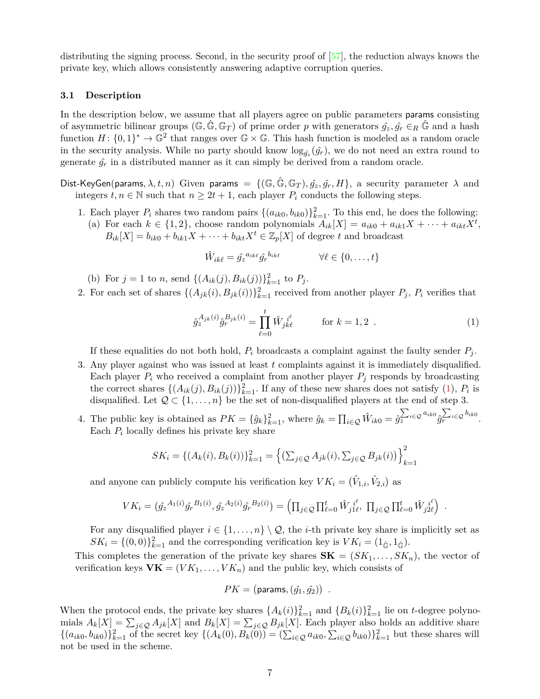distributing the signing process. Second, in the security proof of [\[57\]](#page-10-23), the reduction always knows the private key, which allows consistently answering adaptive corruption queries.

#### **3.1 Description**

In the description below, we assume that all players agree on public parameters params consisting of asymmetric bilinear groups ( $\mathbb{G}, \mathbb{G}, \mathbb{G}_T$ ) of prime order p with generators  $\hat{g}_z, \hat{g}_r \in_R \mathbb{G}$  and a hash function  $H: \{0,1\}^* \to \mathbb{G}^2$  that ranges over  $\mathbb{G} \times \mathbb{G}$ . This hash function is modeled as a random oracle in the security analysis. While no party should know  $\log_{\hat{g}_z}(\hat{g}_r)$ , we do not need an extra round to generate  $\hat{g}_r$  in a distributed manner as it can simply be derived from a random oracle.

Dist-KeyGen(params,  $\lambda, t, n$ ) Given params = { $(\mathbb{G}, \mathbb{G}, \mathbb{G}_T)$ ,  $\hat{g_z}, \hat{g_r}, H$ }, a security parameter  $\lambda$  and integers  $t, n \in \mathbb{N}$  such that  $n \geq 2t + 1$ , each player  $P_i$  conducts the following steps.

1. Each player  $P_i$  shares two random pairs  $\{(a_{ik0}, b_{ik0})\}_{k=1}^2$ . To this end, he does the following: (a) For each  $k \in \{1, 2\}$ , choose random polynomials  $A_{ik}[X] = a_{ik0} + a_{ik1}X + \cdots + a_{ikt}X^t$ ,  $B_{ik}[X] = b_{ik0} + b_{ik1}X + \cdots + b_{ikt}X^t \in \mathbb{Z}_p[X]$  of degree *t* and broadcast

$$
\hat{W}_{ik\ell} = \hat{g}_z^{a_{ik\ell}} \hat{g}_r^{b_{ik\ell}} \qquad \forall \ell \in \{0, \dots, t\}
$$

- (b) For  $j = 1$  to *n*, send  $\{(A_{ik}(j), B_{ik}(j))\}_{k=1}^2$  to  $P_j$ .
- 2. For each set of shares  $\{(A_{jk}(i), B_{jk}(i))\}_{k=1}^2$  received from another player  $P_j$ ,  $P_i$  verifies that

<span id="page-6-0"></span>
$$
\hat{g}_z^{A_{jk}(i)}\hat{g}_r^{B_{jk}(i)} = \prod_{\ell=0}^t \hat{W}_{jk\ell}^{i^{\ell}} \qquad \text{for } k = 1, 2 .
$$
 (1)

If these equalities do not both hold,  $P_i$  broadcasts a complaint against the faulty sender  $P_i$ .

- 3. Any player against who was issued at least *t* complaints against it is immediately disqualified. Each player  $P_i$  who received a complaint from another player  $P_j$  responds by broadcasting the correct shares  $\{(A_{ik}(j), B_{ik}(j))\}_{k=1}^2$ . If any of these new shares does not satisfy [\(1\)](#page-6-0),  $P_i$  is disqualified. Let  $\mathcal{Q} \subset \{1, \ldots, n\}$  be the set of non-disqualified players at the end of step 3.
- 4. The public key is obtained as  $PK = {\hat{g}_k}_{k=1}^2$ , where  $\hat{g}_k = \prod_{i \in \mathcal{Q}} \hat{W}_{ik0} = \hat{g}_z^{\sum_{i \in \mathcal{Q}} a_{ik0}} \hat{g}_r^{\sum_{i \in \mathcal{Q}} b_{ik0}}$ . Each  $P_i$  locally defines his private key share

$$
SK_i = \{(A_k(i), B_k(i))\}_{k=1}^2 = \left\{ \left(\sum_{j \in \mathcal{Q}} A_{jk}(i), \sum_{j \in \mathcal{Q}} B_{jk}(i)\right) \right\}_{k=1}^2
$$

and anyone can publicly compute his verification key  $VK_i = (\hat{V}_{1,i}, \hat{V}_{2,i})$  as

$$
VK_i = (\hat{g}_z^{A_1(i)} \hat{g}_r^{B_1(i)}, \hat{g}_z^{A_2(i)} \hat{g}_r^{B_2(i)}) = \left( \prod_{j \in \mathcal{Q}} \prod_{\ell=0}^t \hat{W}_{j1\ell}^{i\ell}, \; \prod_{j \in \mathcal{Q}} \prod_{\ell=0}^t \hat{W}_{j2\ell}^{i\ell} \right) .
$$

For any disqualified player  $i \in \{1, \ldots, n\} \setminus \mathcal{Q}$ , the *i*-th private key share is implicitly set as  $SK_i = \{(0,0)\}_{k=1}^2$  and the corresponding verification key is  $VK_i = (1_{\hat{\mathbb{G}}}, 1_{\hat{\mathbb{G}}})$ .

This completes the generation of the private key shares  $\mathbf{SK} = (SK_1, \ldots, SK_n)$ , the vector of verification keys  $\mathbf{VK} = (VK_1, \ldots, VK_n)$  and the public key, which consists of

$$
PK = (\mathsf{params}, (\hat{g_1}, \hat{g_2})) \enspace .
$$

When the protocol ends, the private key shares  $\{A_k(i)\}_{k=1}^2$  and  $\{B_k(i)\}_{k=1}^2$  lie on *t*-degree polynomials  $A_k[X] = \sum_{j \in \mathcal{Q}} A_{jk}[X]$  and  $B_k[X] = \sum_{j \in \mathcal{Q}} B_{jk}[X]$ . Each player also holds an additive share  $\{(a_{ik0}, b_{ik0})\}_{k=1}^2$  of the secret key  $\{(A_k(0), B_k(0)) = (\sum_{i \in \mathcal{Q}} a_{ik0}, \sum_{i \in \mathcal{Q}} b_{ik0})\}_{k=1}^2$  but these shares will not be used in the scheme.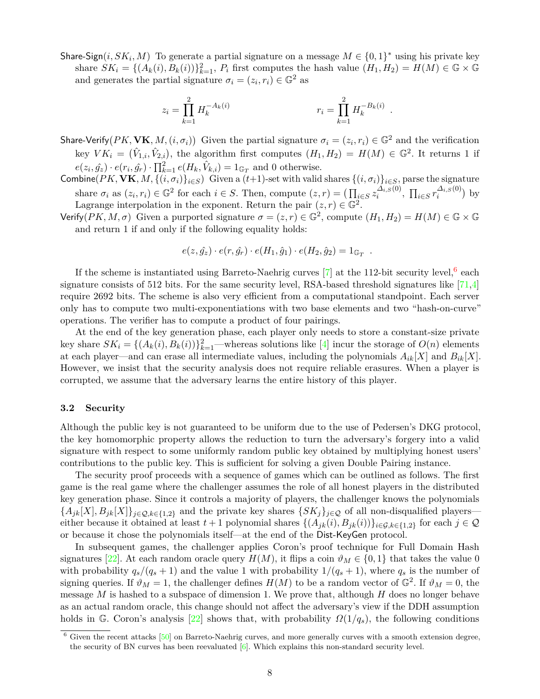Share-Sign $(i, SK_i, M)$  To generate a partial signature on a message  $M \in \{0, 1\}^*$  using his private key share  $SK_i = \{(A_k(i), B_k(i))\}_{k=1}^2$ ,  $P_i$  first computes the hash value  $(H_1, H_2) = H(M) \in \mathbb{G} \times \mathbb{G}$ and generates the partial signature  $\sigma_i = (z_i, r_i) \in \mathbb{G}^2$  as

$$
z_i = \prod_{k=1}^2 H_k^{-A_k(i)} \qquad \qquad r_i = \prod_{k=1}^2 H_k^{-B_k(i)}.
$$

- Share-Verify  $(PK, \mathbf{VK}, M, (i, \sigma_i))$  Given the partial signature  $\sigma_i = (z_i, r_i) \in \mathbb{G}^2$  and the verification key  $VK_i = (\hat{V}_{1,i}, \hat{V}_{2,i})$ , the algorithm first computes  $(H_1, H_2) = H(M) \in \mathbb{G}^2$ . It returns 1 if  $e(z_i, \hat{g_z}) \cdot e(r_i, \hat{g_r}) \cdot \prod_{k=1}^{2} e(H_k, \hat{V}_{k,i}) = 1_{\mathbb{G}_T}$  and 0 otherwise.
- Combine( $PK$ ,  $VK$ ,  $M$ ,  $\{(i, \sigma_i)\}_{i \in S}$ ) Given a ( $t+1$ )-set with valid shares  $\{(i, \sigma_i)\}_{i \in S}$ , parse the signature share  $\sigma_i$  as  $(z_i, r_i) \in \mathbb{G}^2$  for each  $i \in S$ . Then, compute  $(z, r) = (\prod_{i \in S} z_i^{\Delta_{i,S}(0)}$  $\frac{\Delta_{i,S}(0)}{i}$ ,  $\prod_{i \in S} r_i^{\Delta_{i,S}(0)}$  $\binom{\Delta i, S^{(0)}}{i}$  by Lagrange interpolation in the exponent. Return the pair  $(z, r) \in \mathbb{G}^2$ .
- Verify( $PK, M, \sigma$ ) Given a purported signature  $\sigma = (z, r) \in \mathbb{G}^2$ , compute  $(H_1, H_2) = H(M) \in \mathbb{G} \times \mathbb{G}$ and return 1 if and only if the following equality holds:

$$
e(z, \hat{g}_z) \cdot e(r, \hat{g}_r) \cdot e(H_1, \hat{g}_1) \cdot e(H_2, \hat{g}_2) = 1_{\mathbb{G}_T}.
$$

If the scheme is instantiated using Barreto-Naehrig curves  $[7]$  at the 112-bit security level,  $6$  each signature consists of 512 bits. For the same security level, RSA-based threshold signatures like [\[71](#page-11-3)[,4\]](#page-9-8) require 2692 bits. The scheme is also very efficient from a computational standpoint. Each server only has to compute two multi-exponentiations with two base elements and two "hash-on-curve" operations. The verifier has to compute a product of four pairings.

At the end of the key generation phase, each player only needs to store a constant-size private key share  $SK_i = \{(A_k(i), B_k(i))\}_{k=1}^2$ —whereas solutions like [\[4\]](#page-9-8) incur the storage of  $O(n)$  elements at each player—and can erase all intermediate values, including the polynomials  $A_{ik}[X]$  and  $B_{ik}[X]$ . However, we insist that the security analysis does not require reliable erasures. When a player is corrupted, we assume that the adversary learns the entire history of this player.

# **3.2 Security**

Although the public key is not guaranteed to be uniform due to the use of Pedersen's DKG protocol, the key homomorphic property allows the reduction to turn the adversary's forgery into a valid signature with respect to some uniformly random public key obtained by multiplying honest users' contributions to the public key. This is sufficient for solving a given Double Pairing instance.

The security proof proceeds with a sequence of games which can be outlined as follows. The first game is the real game where the challenger assumes the role of all honest players in the distributed key generation phase. Since it controls a majority of players, the challenger knows the polynomials  ${A_{jk}[X], B_{jk}[X]}_{j \in Q, k \in \{1,2\}}$  and the private key shares  ${SK_j}_{j \in Q}$  of all non-disqualified players either because it obtained at least  $t+1$  polynomial shares  $\{(A_{jk}(i), B_{jk}(i))\}_{i\in\mathcal{G},k\in\{1,2\}}$  for each  $j\in\mathcal{Q}$ or because it chose the polynomials itself—at the end of the Dist-KeyGen protocol.

In subsequent games, the challenger applies Coron's proof technique for Full Domain Hash signatures [\[22\]](#page-9-15). At each random oracle query  $H(M)$ , it flips a coin  $\vartheta_M \in \{0,1\}$  that takes the value 0 with probability  $q_s/(q_s+1)$  and the value 1 with probability  $1/(q_s+1)$ , where  $q_s$  is the number of signing queries. If  $\vartheta_M = 1$ , the challenger defines  $H(M)$  to be a random vector of  $\mathbb{G}^2$ . If  $\vartheta_M = 0$ , the message *M* is hashed to a subspace of dimension 1. We prove that, although *H* does no longer behave as an actual random oracle, this change should not affect the adversary's view if the DDH assumption holds in G. Coron's analysis [\[22\]](#page-9-15) shows that, with probability  $\Omega(1/q_s)$ , the following conditions

<span id="page-7-0"></span> $6$  Given the recent attacks  $[50]$  on Barreto-Naehrig curves, and more generally curves with a smooth extension degree, the security of BN curves has been reevaluated [\[6\]](#page-9-16). Which explains this non-standard security level.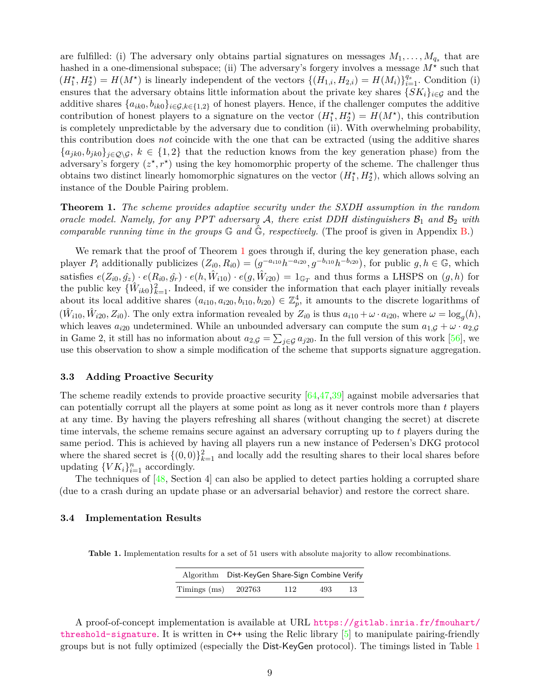are fulfilled: (i) The adversary only obtains partial signatures on messages  $M_1, \ldots, M_{q_s}$  that are hashed in a one-dimensional subspace; (ii) The adversary's forgery involves a message  $M^*$  such that  $(H_1^*, H_2^*) = H(M^*)$  is linearly independent of the vectors  $\{(H_{1,i}, H_{2,i}) = H(M_i)\}_{i=1}^{q_s}$ . Condition (i) ensures that the adversary obtains little information about the private key shares  $\{SK_i\}_{i\in\mathcal{G}}$  and the additive shares  $\{a_{ik0}, b_{ik0}\}_{i \in \mathcal{G}, k \in \{1,2\}}$  of honest players. Hence, if the challenger computes the additive contribution of honest players to a signature on the vector  $(H_1^*, H_2^*) = H(M^*)$ , this contribution is completely unpredictable by the adversary due to condition (ii). With overwhelming probability, this contribution does *not* coincide with the one that can be extracted (using the additive shares  ${a_{jk0}, b_{jk0}}_{j \in Q \setminus G}$ ,  $k \in \{1, 2\}$  that the reduction knows from the key generation phase) from the adversary's forgery  $(z^*, r^*)$  using the key homomorphic property of the scheme. The challenger thus obtains two distinct linearly homomorphic signatures on the vector  $(H_1^{\star}, H_2^{\star})$ , which allows solving an instance of the Double Pairing problem.

<span id="page-8-0"></span>**Theorem 1.** *The scheme provides adaptive security under the SXDH assumption in the random oracle model. Namely, for any PPT adversary* A, there exist DDH distinguishers  $\mathcal{B}_1$  and  $\mathcal{B}_2$  with *comparable running time in the groups*  $\mathbb{G}$  *and*  $\mathbb{G}$ *, respectively.* (The proof is given in Appendix [B.](#page-12-0))

We remark that the proof of Theorem [1](#page-8-0) goes through if, during the key generation phase, each player  $P_i$  additionally publicizes  $(Z_{i0}, R_{i0}) = (g^{-a_{i10}}h^{-a_{i20}}, g^{-b_{i10}}h^{-b_{i20}})$ , for public  $g, h \in \mathbb{G}$ , which satisfies  $e(Z_{i0}, \hat{g}_z) \cdot e(R_{i0}, \hat{g}_r) \cdot e(h, \hat{W}_{i10}) \cdot e(g, \hat{W}_{i20}) = 1_{\mathbb{G}_T}$  and thus forms a LHSPS on  $(g, h)$  for the public key  $\{\hat{W}_{ik0}\}_{k=1}^2$ . Indeed, if we consider the information that each player initially reveals about its local additive shares  $(a_{i10}, a_{i20}, b_{i10}, b_{i20}) \in \mathbb{Z}_p^4$ , it amounts to the discrete logarithms of  $(\hat{W}_{i10}, \hat{W}_{i20}, Z_{i0})$ . The only extra information revealed by  $Z_{i0}$  is thus  $a_{i10} + \omega \cdot a_{i20}$ , where  $\omega = \log_g(h)$ , which leaves  $a_{i20}$  undetermined. While an unbounded adversary can compute the sum  $a_{1,\mathcal{G}} + \omega \cdot a_{2,\mathcal{G}}$ in Game 2, it still has no information about  $a_{2,\mathcal{G}} = \sum_{j\in\mathcal{G}} a_{j20}$ . In the full version of this work [\[56\]](#page-10-22), we use this observation to show a simple modification of the scheme that supports signature aggregation.

#### **3.3 Adding Proactive Security**

The scheme readily extends to provide proactive security [\[64,](#page-11-14)[47,](#page-10-6)[39\]](#page-10-26) against mobile adversaries that can potentially corrupt all the players at some point as long as it never controls more than *t* players at any time. By having the players refreshing all shares (without changing the secret) at discrete time intervals, the scheme remains secure against an adversary corrupting up to *t* players during the same period. This is achieved by having all players run a new instance of Pedersen's DKG protocol where the shared secret is  $\{(0,0)\}_{k=1}^2$  and locally add the resulting shares to their local shares before updating  $\{VK_i\}_{i=1}^n$  accordingly.

The techniques of  $[48, \text{Section 4}]$  $[48, \text{Section 4}]$  can also be applied to detect parties holding a corrupted share (due to a crash during an update phase or an adversarial behavior) and restore the correct share.

#### **3.4 Implementation Results**

<span id="page-8-1"></span>**Table 1.** Implementation results for a set of 51 users with absolute majority to allow recombinations.

|                   | Algorithm Dist-KeyGen Share-Sign Combine Verify |     |     |    |
|-------------------|-------------------------------------------------|-----|-----|----|
| $T$ imings $(ms)$ | 202763                                          | 112 | 493 | 13 |

A proof-of-concept implementation is available at URL [https://gitlab.inria.fr/fmouhart/](https://gitlab.inria.fr/fmouhart/threshold-signature) [threshold-signature](https://gitlab.inria.fr/fmouhart/threshold-signature). It is written in  $C++$  using the Relic library  $[5]$  to manipulate pairing-friendly groups but is not fully optimized (especially the Dist-KeyGen protocol). The timings listed in Table [1](#page-8-1)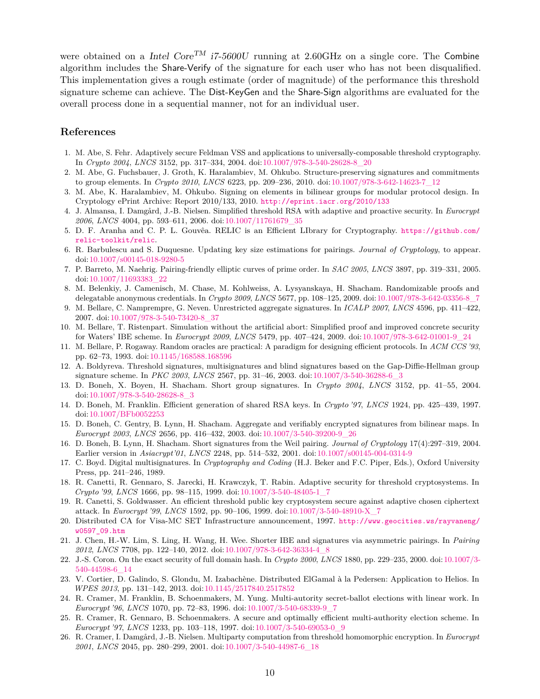were obtained on a Intel Core<sup>TM</sup> i7-5600U running at 2.60GHz on a single core. The Combine algorithm includes the Share-Verify of the signature for each user who has not been disqualified. This implementation gives a rough estimate (order of magnitude) of the performance this threshold signature scheme can achieve. The Dist-KeyGen and the Share-Sign algorithms are evaluated for the overall process done in a sequential manner, not for an individual user.

# **References**

- <span id="page-9-7"></span>1. M. Abe, S. Fehr. Adaptively secure Feldman VSS and applications to universally-composable threshold cryptography. In *Crypto 2004*, *LNCS* 3152, pp. 317–334, 2004. doi[:10.1007/978-3-540-28628-8\\_20](https://doi.org/10.1007/978-3-540-28628-8_20)
- <span id="page-9-10"></span>2. M. Abe, G. Fuchsbauer, J. Groth, K. Haralambiev, M. Ohkubo. Structure-preserving signatures and commitments to group elements. In *Crypto 2010*, *LNCS* 6223, pp. 209–236, 2010. doi:[10.1007/978-3-642-14623-7\\_12](https://doi.org/10.1007/978-3-642-14623-7_12)
- <span id="page-9-11"></span>3. M. Abe, K. Haralambiev, M. Ohkubo. Signing on elements in bilinear groups for modular protocol design. In Cryptology ePrint Archive: Report 2010/133, 2010. <http://eprint.iacr.org/2010/133>
- <span id="page-9-8"></span>4. J. Almansa, I. Damgård, J.-B. Nielsen. Simplified threshold RSA with adaptive and proactive security. In *Eurocrypt 2006*, *LNCS* 4004, pp. 593–611, 2006. doi[:10.1007/11761679\\_35](https://doi.org/10.1007/11761679_35)
- <span id="page-9-17"></span>5. D. F. Aranha and C. P. L. Gouvêa. RELIC is an Efficient LIbrary for Cryptography. [https://github.com/](https://github.com/relic-toolkit/relic) [relic-toolkit/relic](https://github.com/relic-toolkit/relic).
- <span id="page-9-16"></span>6. R. Barbulescu and S. Duquesne. Updating key size estimations for pairings. *Journal of Cryptology*, to appear. doi[:10.1007/s00145-018-9280-5](https://doi.org/10.1007/s00145-018-9280-5)
- <span id="page-9-14"></span>7. P. Barreto, M. Naehrig. Pairing-friendly elliptic curves of prime order. In *SAC 2005*, *LNCS* 3897, pp. 319–331, 2005. doi[:10.1007/11693383\\_22](https://doi.org/10.1007/11693383_22)
- 8. M. Belenkiy, J. Camenisch, M. Chase, M. Kohlweiss, A. Lysyanskaya, H. Shacham. Randomizable proofs and delegatable anonymous credentials. In *Crypto 2009*, *LNCS* 5677, pp. 108–125, 2009. doi:[10.1007/978-3-642-03356-8\\_7](https://doi.org/10.1007/978-3-642-03356-8_7)
- 9. M. Bellare, C. Namprempre, G. Neven. Unrestricted aggregate signatures. In *ICALP 2007*, *LNCS* 4596, pp. 411–422, 2007. doi[:10.1007/978-3-540-73420-8\\_37](https://doi.org/10.1007/978-3-540-73420-8_37)
- 10. M. Bellare, T. Ristenpart. Simulation without the artificial abort: Simplified proof and improved concrete security for Waters' IBE scheme. In *Eurocrypt 2009*, *LNCS* 5479, pp. 407–424, 2009. doi[:10.1007/978-3-642-01001-9\\_24](https://doi.org/10.1007/978-3-642-01001-9_24)
- 11. M. Bellare, P. Rogaway. Random oracles are practical: A paradigm for designing efficient protocols. In *ACM CCS '93*, pp. 62–73, 1993. doi:[10.1145/168588.168596](https://doi.org/10.1145/168588.168596)
- <span id="page-9-4"></span>12. A. Boldyreva. Threshold signatures, multisignatures and blind signatures based on the Gap-Diffie-Hellman group signature scheme. In *PKC 2003*, *LNCS* 2567, pp. 31–46, 2003. doi[:10.1007/3-540-36288-6\\_3](https://doi.org/10.1007/3-540-36288-6_3)
- 13. D. Boneh, X. Boyen, H. Shacham. Short group signatures. In *Crypto 2004*, *LNCS* 3152, pp. 41–55, 2004. doi[:10.1007/978-3-540-28628-8\\_3](https://doi.org/10.1007/978-3-540-28628-8_3)
- <span id="page-9-2"></span>14. D. Boneh, M. Franklin. Efficient generation of shared RSA keys. In *Crypto '97*, *LNCS* 1924, pp. 425–439, 1997. doi[:10.1007/BFb0052253](https://doi.org/10.1007/BFb0052253)
- <span id="page-9-13"></span>15. D. Boneh, C. Gentry, B. Lynn, H. Shacham. Aggregate and verifiably encrypted signatures from bilinear maps. In *Eurocrypt 2003*, *LNCS* 2656, pp. 416–432, 2003. doi:[10.1007/3-540-39200-9\\_26](https://doi.org/10.1007/3-540-39200-9_26)
- <span id="page-9-5"></span>16. D. Boneh, B. Lynn, H. Shacham. Short signatures from the Weil pairing. *Journal of Cryptology* 17(4):297–319, 2004. Earlier version in *Asiacrypt'01*, *LNCS* 2248, pp. 514–532, 2001. doi:[10.1007/s00145-004-0314-9](https://doi.org/10.1007/s00145-004-0314-9)
- <span id="page-9-0"></span>17. C. Boyd. Digital multisignatures. In *Cryptography and Coding* (H.J. Beker and F.C. Piper, Eds.), Oxford University Press, pp. 241–246, 1989.
- <span id="page-9-3"></span>18. R. Canetti, R. Gennaro, S. Jarecki, H. Krawczyk, T. Rabin. Adaptive security for threshold cryptosystems. In *Crypto '99*, *LNCS* 1666, pp. 98–115, 1999. doi:[10.1007/3-540-48405-1\\_7](https://doi.org/10.1007/3-540-48405-1_7)
- <span id="page-9-6"></span>19. R. Canetti, S. Goldwasser. An efficient threshold public key cryptosystem secure against adaptive chosen ciphertext attack. In *Eurocrypt '99*, *LNCS* 1592, pp. 90–106, 1999. doi:[10.1007/3-540-48910-X\\_7](https://doi.org/10.1007/3-540-48910-X_7)
- <span id="page-9-1"></span>20. Distributed CA for Visa-MC SET Infrastructure announcement, 1997. [http://www.geocities.ws/rayvaneng/](http://www.geocities.ws/rayvaneng/w0597_09.htm) [w0597\\_09.htm](http://www.geocities.ws/rayvaneng/w0597_09.htm)
- <span id="page-9-9"></span>21. J. Chen, H.-W. Lim, S. Ling, H. Wang, H. Wee. Shorter IBE and signatures via asymmetric pairings. In *Pairing 2012*, *LNCS* 7708, pp. 122–140, 2012. doi[:10.1007/978-3-642-36334-4\\_8](https://doi.org/10.1007/978-3-642-36334-4_8)
- <span id="page-9-15"></span>22. J.-S. Coron. On the exact security of full domain hash. In *Crypto 2000*, *LNCS* 1880, pp. 229–235, 2000. doi[:10.1007/3-](https://doi.org/10.1007/3-540-44598-6_14) [540-44598-6\\_14](https://doi.org/10.1007/3-540-44598-6_14)
- <span id="page-9-12"></span>23. V. Cortier, D. Galindo, S. Glondu, M. Izabachène. Distributed ElGamal à la Pedersen: Application to Helios. In *WPES 2013*, pp. 131–142, 2013. doi[:10.1145/2517840.2517852](https://doi.org/10.1145/2517840.2517852)
- 24. R. Cramer, M. Franklin, B. Schoenmakers, M. Yung. Multi-autority secret-ballot elections with linear work. In *Eurocrypt '96*, *LNCS* 1070, pp. 72–83, 1996. doi:[10.1007/3-540-68339-9\\_7](https://doi.org/10.1007/3-540-68339-9_7)
- 25. R. Cramer, R. Gennaro, B. Schoenmakers. A secure and optimally efficient multi-authority election scheme. In *Eurocrypt '97*, *LNCS* 1233, pp. 103–118, 1997. doi:[10.1007/3-540-69053-0\\_9](https://doi.org/10.1007/3-540-69053-0_9)
- 26. R. Cramer, I. Damgård, J.-B. Nielsen. Multiparty computation from threshold homomorphic encryption. In *Eurocrypt 2001*, *LNCS* 2045, pp. 280–299, 2001. doi[:10.1007/3-540-44987-6\\_18](https://doi.org/10.1007/3-540-44987-6_18)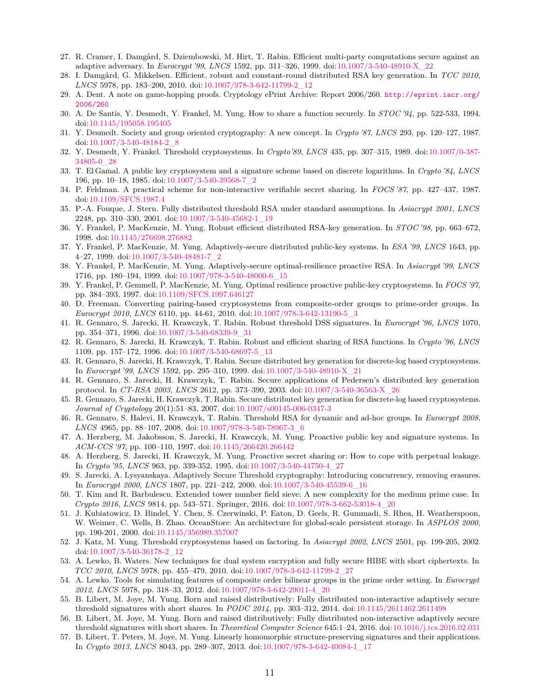- <span id="page-10-15"></span>27. R. Cramer, I. Damgård, S. Dziembowski, M. Hirt, T. Rabin. Efficient multi-party computations secure against an adaptive adversary. In *Eurocrypt '99*, *LNCS* 1592, pp. 311–326, 1999. doi:[10.1007/3-540-48910-X\\_22](https://doi.org/10.1007/3-540-48910-X_22)
- <span id="page-10-9"></span>28. I. Damgård, G. Mikkelsen. Efficient, robust and constant-round distributed RSA key generation. In *TCC 2010*, *LNCS* 5978, pp. 183–200, 2010. doi:[10.1007/978-3-642-11799-2\\_12](https://doi.org/10.1007/978-3-642-11799-2_12)
- <span id="page-10-28"></span>29. A. Dent. A note on game-hopping proofs. Cryptology ePrint Archive: Report 2006/260. [http://eprint.iacr.org/](http://eprint.iacr.org/2006/260) [2006/260](http://eprint.iacr.org/2006/260)
- <span id="page-10-2"></span>30. A. De Santis, Y. Desmedt, Y. Frankel, M. Yung. How to share a function securely. In *STOC '94*, pp. 522-533, 1994. doi[:10.1145/195058.195405](https://doi.org/10.1145/195058.195405)
- <span id="page-10-0"></span>31. Y. Desmedt. Society and group oriented cryptography: A new concept. In *Crypto '87*, *LNCS* 293, pp. 120–127, 1987. doi[:10.1007/3-540-48184-2\\_8](https://doi.org/10.1007/3-540-48184-2_8)
- <span id="page-10-1"></span>32. Y. Desmedt, Y. Frankel. Threshold cryptosystems. In *Crypto'89*, *LNCS* 435, pp. 307–315, 1989. doi:[10.1007/0-387-](https://doi.org/10.1007/0-387-34805-0_28) [34805-0\\_28](https://doi.org/10.1007/0-387-34805-0_28)
- 33. T. El Gamal. A public key cryptosystem and a signature scheme based on discrete logarithms. In *Crypto '84*, *LNCS* 196, pp. 10–18, 1985. doi:[10.1007/3-540-39568-7\\_2](https://doi.org/10.1007/3-540-39568-7_2)
- <span id="page-10-24"></span>34. P. Feldman. A practical scheme for non-interactive verifiable secret sharing. In *FOCS '87*, pp. 427–437, 1987. doi[:10.1109/SFCS.1987.4](https://doi.org/10.1109/SFCS.1987.4)
- <span id="page-10-8"></span>35. P.-A. Fouque, J. Stern. Fully distributed threshold RSA under standard assumptions. In *Asiacrypt 2001*, *LNCS* 2248, pp. 310–330, 2001. doi:[10.1007/3-540-45682-1\\_19](https://doi.org/10.1007/3-540-45682-1_19)
- <span id="page-10-7"></span>36. Y. Frankel, P. MacKenzie, M. Yung. Robust efficient distributed RSA-key generation. In *STOC '98*, pp. 663–672, 1998. doi[:10.1145/276698.276882](https://doi.org/10.1145/276698.276882)
- <span id="page-10-11"></span>37. Y. Frankel, P. MacKenzie, M. Yung. Adaptively-secure distributed public-key systems. In *ESA '99*, *LNCS* 1643, pp. 4–27, 1999. doi[:10.1007/3-540-48481-7\\_2](https://doi.org/10.1007/3-540-48481-7_2)
- <span id="page-10-16"></span>38. Y. Frankel, P. MacKenzie, M. Yung. Adaptively-secure optimal-resilience proactive RSA. In *Asiacrypt '99*, *LNCS* 1716, pp. 180–194, 1999. doi:[10.1007/978-3-540-48000-6\\_15](https://doi.org/10.1007/978-3-540-48000-6_15)
- <span id="page-10-26"></span>39. Y. Frankel, P. Gemmell, P. MacKenzie, M. Yung. Optimal resilience proactive public-key cryptosystems. In *FOCS '97*, pp. 384–393, 1997. doi[:10.1109/SFCS.1997.646127](https://doi.org/10.1109/SFCS.1997.646127)
- <span id="page-10-19"></span>40. D. Freeman. Converting pairing-based cryptosystems from composite-order groups to prime-order groups. In *Eurocrypt 2010*, *LNCS* 6110, pp. 44-61, 2010. doi[:10.1007/978-3-642-13190-5\\_3](https://doi.org/10.1007/978-3-642-13190-5_3)
- <span id="page-10-4"></span>41. R. Gennaro, S. Jarecki, H. Krawczyk, T. Rabin. Robust threshold DSS signatures. In *Eurocrypt '96*, *LNCS* 1070, pp. 354–371, 1996. doi[:10.1007/3-540-68339-9\\_31](https://doi.org/10.1007/3-540-68339-9_31)
- <span id="page-10-5"></span>42. R. Gennaro, S. Jarecki, H. Krawczyk, T. Rabin. Robust and efficient sharing of RSA functions. In *Crypto '96*, *LNCS* 1109, pp. 157–172, 1996. doi:[10.1007/3-540-68697-5\\_13](https://doi.org/10.1007/3-540-68697-5_13)
- <span id="page-10-10"></span>43. R. Gennaro, S. Jarecki, H. Krawczyk, T. Rabin. Secure distributed key generation for discrete-log based cryptosystems. In *Eurocrypt '99*, *LNCS* 1592, pp. 295–310, 1999. doi:[10.1007/3-540-48910-X\\_21](https://doi.org/10.1007/3-540-48910-X_21)
- <span id="page-10-13"></span>44. R. Gennaro, S. Jarecki, H. Krawczyk, T. Rabin. Secure applications of Pedersen's distributed key generation protocol. In *CT-RSA 2003*, *LNCS* 2612, pp. 373–390, 2003. doi:[10.1007/3-540-36563-X\\_26](https://doi.org/10.1007/3-540-36563-X_26)
- <span id="page-10-12"></span>45. R. Gennaro, S. Jarecki, H. Krawczyk, T. Rabin. Secure distributed key generation for discrete-log based cryptosystems. *Journal of Cryptology* 20(1):51–83, 2007. doi:[10.1007/s00145-006-0347-3](https://doi.org/10.1007/s00145-006-0347-3)
- 46. R. Gennaro, S. Halevi, H. Krawczyk, T. Rabin. Threshold RSA for dynamic and ad-hoc groups. In *Eurocrypt 2008*, *LNCS* 4965, pp. 88–107, 2008. doi:[10.1007/978-3-540-78967-3\\_6](https://doi.org/10.1007/978-3-540-78967-3_6)
- <span id="page-10-6"></span>47. A. Herzberg, M. Jakobsson, S. Jarecki, H. Krawczyk, M. Yung. Proactive public key and signature systems. In *ACM-CCS '97*, pp. 100–110, 1997. doi:[10.1145/266420.266442](https://doi.org/10.1145/266420.266442)
- <span id="page-10-27"></span>48. A. Herzberg, S. Jarecki, H. Krawczyk, M. Yung. Proactive secret sharing or: How to cope with perpetual leakage. In *Crypto '95*, *LNCS* 963, pp. 339-352, 1995. doi:[10.1007/3-540-44750-4\\_27](https://doi.org/10.1007/3-540-44750-4_27)
- <span id="page-10-17"></span>49. S. Jarecki, A. Lysyanskaya. Adaptively Secure Threshold cryptography: Introducing concurrency, removing erasures. In *Eurocrypt 2000*, *LNCS* 1807, pp. 221–242, 2000. doi:[10.1007/3-540-45539-6\\_16](https://doi.org/10.1007/3-540-45539-6_16)
- <span id="page-10-25"></span>50. T. Kim and R. Barbulescu. Extended tower number field sieve: A new complexity for the medium prime case. In *Crypto 2016*, *LNCS* 9814, pp. 543–571. Springer, 2016. doi[:10.1007/978-3-662-53018-4\\_20](https://doi.org/10.1007/978-3-662-53018-4_20)
- <span id="page-10-3"></span>51. J. Kubiatowicz, D. Bindel, Y. Chen, S. Czerwinski, P. Eaton, D. Geels, R. Gummadi, S. Rhea, H. Weatherspoon, W. Weimer, C. Wells, B. Zhao. OceanStore: An architecture for global-scale persistent storage. In *ASPLOS 2000*, pp. 190-201, 2000. doi:[10.1145/356989.357007](https://doi.org/10.1145/356989.357007)
- <span id="page-10-14"></span>52. J. Katz, M. Yung. Threshold cryptosystems based on factoring. In *Asiacrypt 2002*, *LNCS* 2501, pp. 199-205, 2002. doi[:10.1007/3-540-36178-2\\_12](https://doi.org/10.1007/3-540-36178-2_12)
- <span id="page-10-18"></span>53. A. Lewko, B. Waters. New techniques for dual system encryption and fully secure HIBE with short ciphertexts. In *TCC 2010*, *LNCS* 5978, pp. 455–479, 2010. doi:[10.1007/978-3-642-11799-2\\_27](https://doi.org/10.1007/978-3-642-11799-2_27)
- <span id="page-10-20"></span>54. A. Lewko. Tools for simulating features of composite order bilinear groups in the prime order setting. In *Eurocrypt 2012*, *LNCS* 5978, pp. 318–33, 2012. doi:[10.1007/978-3-642-29011-4\\_20](https://doi.org/10.1007/978-3-642-29011-4_20)
- <span id="page-10-21"></span>55. B. Libert, M. Joye, M. Yung. Born and raised distributively: Fully distributed non-interactive adaptively secure threshold signatures with short shares. In *PODC 2014*, pp. 303–312, 2014. doi:[10.1145/2611462.2611498](https://doi.org/10.1145/2611462.2611498)
- <span id="page-10-22"></span>56. B. Libert, M. Joye, M. Yung. Born and raised distributively: Fully distributed non-interactive adaptively secure threshold signatures with short shares. In *Theoretical Computer Science* 645:1–24, 2016. doi:[10.1016/j.tcs.2016.02.031](https://doi.org/10.1016/j.tcs.2016.02.031)
- <span id="page-10-23"></span>57. B. Libert, T. Peters, M. Joye, M. Yung. Linearly homomorphic structure-preserving signatures and their applications. In *Crypto 2013*, *LNCS* 8043, pp. 289–307, 2013. doi[:10.1007/978-3-642-40084-1\\_17](https://doi.org/10.1007/978-3-642-40084-1_17)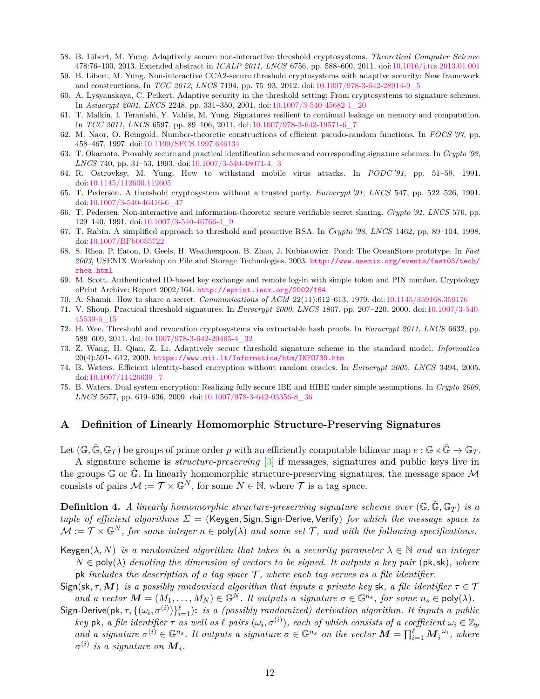- <span id="page-11-9"></span>58. B. Libert, M. Yung. Adaptively secure non-interactive threshold cryptosystems. *Theoretical Computer Science* 478:76–100, 2013. Extended abstract in *ICALP 2011*, *LNCS* 6756, pp. 588–600, 2011. doi[:10.1016/j.tcs.2013.01.001](https://doi.org/10.1016/j.tcs.2013.01.001)
- <span id="page-11-10"></span>59. B. Libert, M. Yung. Non-interactive CCA2-secure threshold cryptosystems with adaptive security: New framework and constructions. In *TCC 2012*, *LNCS* 7194, pp. 75–93, 2012. doi[:10.1007/978-3-642-28914-9\\_5](https://doi.org/10.1007/978-3-642-28914-9_5)
- <span id="page-11-5"></span>60. A. Lysyanskaya, C. Peikert. Adaptive security in the threshold setting: From cryptosystems to signature schemes. In *Asiacrypt 2001*, *LNCS* 2248, pp. 331–350, 2001. doi:[10.1007/3-540-45682-1\\_20](https://doi.org/10.1007/3-540-45682-1_20)
- 61. T. Malkin, I. Teranishi, Y. Vahlis, M. Yung. Signatures resilient to continual leakage on memory and computation. In *TCC 2011*, *LNCS* 6597, pp. 89–106, 2011. doi:[10.1007/978-3-642-19571-6\\_7](https://doi.org/10.1007/978-3-642-19571-6_7)
- 62. M. Naor, O. Reingold. Number-theoretic constructions of efficient pseudo-random functions. In *FOCS '97*, pp. 458–467, 1997. doi:[10.1109/SFCS.1997.646134](https://doi.org/10.1109/SFCS.1997.646134)
- 63. T. Okamoto. Provably secure and practical identification schemes and corresponding signature schemes. In *Crypto '92*, *LNCS* 740, pp. 31–53, 1993. doi[:10.1007/3-540-48071-4\\_3](https://doi.org/10.1007/3-540-48071-4_3)
- <span id="page-11-14"></span>64. R. Ostrovksy, M. Yung. How to withstand mobile virus attacks. In *PODC '91*, pp. 51–59, 1991. doi[:10.1145/112600.112605](https://doi.org/10.1145/112600.112605)
- <span id="page-11-2"></span>65. T. Pedersen. A threshold cryptosystem without a trusted party. *Eurocrypt '91*, *LNCS* 547, pp. 522–526, 1991. doi[:10.1007/3-540-46416-6\\_47](https://doi.org/10.1007/3-540-46416-6_47)
- <span id="page-11-13"></span>66. T. Pedersen. Non-interactive and information-theoretic secure verifiable secret sharing. *Crypto '91*, *LNCS* 576, pp. 129–140, 1991. doi:[10.1007/3-540-46766-1\\_9](https://doi.org/10.1007/3-540-46766-1_9)
- <span id="page-11-6"></span>67. T. Rabin. A simplified approach to threshold and proactive RSA. In *Crypto '98*, *LNCS* 1462, pp. 89–104, 1998. doi[:10.1007/BFb0055722](https://doi.org/10.1007/BFb0055722)
- <span id="page-11-0"></span>68. S. Rhea, P. Eaton, D. Geels, H. Weatherspoon, B. Zhao, J. Kubiatowicz. Pond: The OceanStore prototype. In *Fast 2003*, USENIX Workshop on File and Storage Technologies, 2003. [http://www.usenix.org/events/fast03/tech/](http://www.usenix.org/events/fast03/tech/rhea.html) [rhea.html](http://www.usenix.org/events/fast03/tech/rhea.html)
- <span id="page-11-12"></span>69. M. Scott. Authenticated ID-based key exchange and remote log-in with simple token and PIN number. Cryptology ePrint Archive: Report 2002/164. <http://eprint.iacr.org/2002/164>
- <span id="page-11-1"></span>70. A. Shamir. How to share a secret. *Communications of ACM* 22(11):612–613, 1979. doi:[10.1145/359168.359176](https://doi.org/10.1145/359168.359176)
- <span id="page-11-3"></span>71. V. Shoup. Practical threshold signatures. In *Eurocrypt 2000*, *LNCS* 1807, pp. 207–220, 2000. doi:[10.1007/3-540-](https://doi.org/10.1007/3-540-45539-6_15) [45539-6\\_15](https://doi.org/10.1007/3-540-45539-6_15)
- <span id="page-11-4"></span>72. H. Wee. Threshold and revocation cryptosystems via extractable hash proofs. In *Eurocrypt 2011*, *LNCS* 6632, pp. 589–609, 2011. doi[:10.1007/978-3-642-20465-4\\_32](https://doi.org/10.1007/978-3-642-20465-4_32)
- <span id="page-11-7"></span>73. Z. Wang, H. Qian, Z. Li. Adaptively secure threshold signature scheme in the standard model. *Informatica* 20(4):591-–612, 2009. <https://www.mii.lt/Informatica/htm/INFO739.htm>
- <span id="page-11-8"></span>74. B. Waters. Efficient identity-based encryption without random oracles. In *Eurocrypt 2005*, *LNCS* 3494, 2005. doi[:10.1007/11426639\\_7](https://doi.org/10.1007/11426639_7)
- <span id="page-11-11"></span>75. B. Waters. Dual system encryption: Realizing fully secure IBE and HIBE under simple assumptions. In *Crypto 2009*, *LNCS* 5677, pp. 619–636, 2009. doi:[10.1007/978-3-642-03356-8\\_36](https://doi.org/10.1007/978-3-642-03356-8_36)

# **A Definition of Linearly Homomorphic Structure-Preserving Signatures**

Let  $(\mathbb{G}, \hat{\mathbb{G}}, \mathbb{G}_T)$  be groups of prime order p with an efficiently computable bilinear map  $e : \mathbb{G} \times \hat{\mathbb{G}} \to \mathbb{G}_T$ .

A signature scheme is *structure-preserving* [\[3\]](#page-9-11) if messages, signatures and public keys live in the groups G or  $\hat{\mathbb{G}}$ . In linearly homomorphic structure-preserving signatures, the message space M consists of pairs  $\mathcal{M} := \mathcal{T} \times \mathbb{G}^N$ , for some  $N \in \mathbb{N}$ , where  $\mathcal{T}$  is a tag space.

**Definition 4.** *A linearly homomorphic structure-preserving signature scheme over*  $(\mathbb{G}, \hat{\mathbb{G}}, \mathbb{G}_T)$  *is a tuple of efficient algorithms Σ* = (Keygen*,* Sign*,* Sign-Derive*,* Verify) *for which the message space is*  $\mathcal{M} := \mathcal{T} \times \mathbb{G}^N$ , for some integer  $n \in \text{poly}(\lambda)$  and some set  $\mathcal{T}$ , and with the following specifications.

- Keygen( $\lambda$ , N) *is a randomized algorithm that takes in a security parameter*  $\lambda \in \mathbb{N}$  *and an integer*  $N \in \text{poly}(\lambda)$  *denoting the dimension of vectors to be signed. It outputs a key pair* ( $\text{pk}, \text{sk}$ )*, where* pk *includes the description of a tag space*  $\mathcal{T}$ *, where each tag serves as a file identifier.*
- Sign(sk,  $\tau$ , *M*) *is a possibly randomized algorithm that inputs a private key* sk, a file identifier  $\tau \in \mathcal{T}$ *and a* vector  $M = (M_1, \ldots, M_N) \in \mathbb{G}^N$ . It outputs a signature  $\sigma \in \mathbb{G}^{n_s}$ , for some  $n_s \in \text{poly}(\lambda)$ .
- $\textsf{Sign-Derive}(\textsf{pk}, \tau, \{(\omega_i, \sigma^{(i)})\}_{i=1}^{\ell})$ : *is a (possibly randomized) derivation algorithm. It inputs a public key* pk, a file identifier  $\tau$  as well as  $\ell$  pairs  $(\omega_i, \sigma^{(i)})$ , each of which consists of a coefficient  $\omega_i \in \mathbb{Z}_p$ and a signature  $\sigma^{(i)} \in \mathbb{G}^{n_s}$ . It outputs a signature  $\sigma \in \mathbb{G}^{n_s}$  on the vector  $\mathbf{M} = \prod_{i=1}^{\ell} \mathbf{M}_i^{\omega_i}$ , where  $\sigma^{(i)}$  *is a signature on*  $\boldsymbol{M}_i$ *.*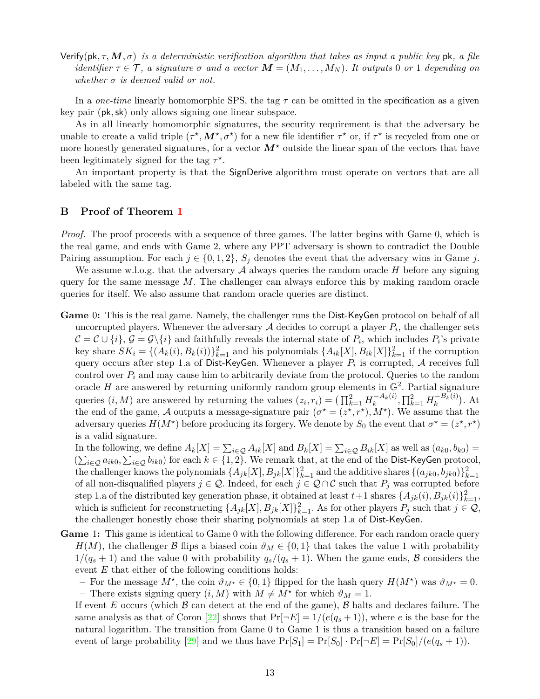Verify(pk*, τ,M, σ*) *is a deterministic verification algorithm that takes as input a public key* pk*, a file identifier*  $\tau \in \mathcal{T}$ , *a signature*  $\sigma$  *and a* vector  $\mathbf{M} = (M_1, \ldots, M_N)$ . It outputs 0 or 1 depending on *whether σ is deemed valid or not.*

In a *one-time* linearly homomorphic SPS, the tag *τ* can be omitted in the specification as a given key pair (pk*,*sk) only allows signing one linear subspace.

As in all linearly homomorphic signatures, the security requirement is that the adversary be unable to create a valid triple  $(\tau^*, M^*, \sigma^*)$  for a new file identifier  $\tau^*$  or, if  $\tau^*$  is recycled from one or more honestly generated signatures, for a vector  $M^*$  outside the linear span of the vectors that have been legitimately signed for the tag  $\tau^*$ .

An important property is that the SignDerive algorithm must operate on vectors that are all labeled with the same tag.

# <span id="page-12-0"></span>**B Proof of Theorem [1](#page-8-0)**

*Proof.* The proof proceeds with a sequence of three games. The latter begins with Game 0, which is the real game, and ends with Game 2, where any PPT adversary is shown to contradict the Double Pairing assumption. For each  $j \in \{0, 1, 2\}$ ,  $S_j$  denotes the event that the adversary wins in Game *j*.

We assume w.l.o.g. that the adversary  $A$  always queries the random oracle  $H$  before any signing query for the same message *M*. The challenger can always enforce this by making random oracle queries for itself. We also assume that random oracle queries are distinct.

**Game** 0**:** This is the real game. Namely, the challenger runs the Dist-KeyGen protocol on behalf of all uncorrupted players. Whenever the adversary  $A$  decides to corrupt a player  $P_i$ , the challenger sets  $\mathcal{C} = \mathcal{C} \cup \{i\}$ ,  $\mathcal{G} = \mathcal{G} \setminus \{i\}$  and faithfully reveals the internal state of  $P_i$ , which includes  $P_i$ 's private key share  $SK_i = \{(A_k(i), B_k(i))\}_{k=1}^2$  and his polynomials  $\{A_{ik}[X], B_{ik}[X]\}_{k=1}^2$  if the corruption query occurs after step 1.a of Dist-KeyGen. Whenever a player  $P_i$  is corrupted,  ${\cal A}$  receives full control over  $P_i$  and may cause him to arbitrarily deviate from the protocol. Queries to the random oracle  $H$  are answered by returning uniformly random group elements in  $\mathbb{G}^2$ . Partial signature queries  $(i, M)$  are answered by returning the values  $(z_i, r_i) = \left(\prod_{k=1}^{2} H_k^{-A_k(i)}\right)$  $\prod_{k=1}^{n-k} H_k^{-B_k(i)}$  $\binom{-B_k(i)}{k}$ . At the end of the game, A outputs a message-signature pair  $(\sigma^* = (z^*, r^*), M^*)$ . We assume that the adversary queries  $H(M^*)$  before producing its forgery. We denote by  $S_0$  the event that  $\sigma^* = (z^*, r^*)$ is a valid signature.

In the following, we define  $A_k[X] = \sum_{i \in \mathcal{Q}} A_{ik}[X]$  and  $B_k[X] = \sum_{i \in \mathcal{Q}} B_{ik}[X]$  as well as  $(a_{k0}, b_{k0}) =$  $(\sum_{i\in\mathcal{Q}}a_{ik0},\sum_{i\in\mathcal{Q}}b_{ik0})$  for each  $k\in\{1,2\}$ . We remark that, at the end of the Dist-KeyGen protocol, the challenger knows the polynomials  $\{A_{jk}[X], B_{jk}[X]\}_{k=1}^2$  and the additive shares  $\{(a_{jk0}, b_{jk0})\}_{k=1}^2$ of all non-disqualified players  $j \in \mathcal{Q}$ . Indeed, for each  $j \in \mathcal{Q} \cap \mathcal{C}$  such that  $P_j$  was corrupted before step 1.a of the distributed key generation phase, it obtained at least  $t+1$  shares  $\{A_{jk}(i), B_{jk}(i)\}_{k=1}^2$ , which is sufficient for reconstructing  $\{A_{jk}[X], B_{jk}[X]\}_{k=1}^2$ . As for other players  $P_j$  such that  $j \in \mathcal{Q}$ , the challenger honestly chose their sharing polynomials at step 1.a of Dist-KeyGen.

- **Game** 1**:** This game is identical to Game 0 with the following difference. For each random oracle query  $H(M)$ , the challenger B flips a biased coin  $\vartheta_M \in \{0,1\}$  that takes the value 1 with probability  $1/(q_s+1)$  and the value 0 with probability  $q_s/(q_s+1)$ . When the game ends, B considers the event *E* that either of the following conditions holds:
	- $\rightarrow$  For the message  $M^*$ , the coin  $\vartheta_{M^*} \in \{0,1\}$  flipped for the hash query  $H(M^*)$  was  $\vartheta_{M^*} = 0$ .  $-$  There exists signing query  $(i, M)$  with  $M \neq M^*$  for which  $\vartheta_M = 1$ .

If event  $E$  occurs (which  $\beta$  can detect at the end of the game),  $\beta$  halts and declares failure. The same analysis as that of Coron [\[22\]](#page-9-15) shows that  $Pr[\neg E] = 1/(e(q_s+1))$ , where *e* is the base for the natural logarithm. The transition from Game 0 to Game 1 is thus a transition based on a failure event of large probability [\[29\]](#page-10-28) and we thus have  $Pr[S_1] = Pr[S_0] \cdot Pr[\neg E] = Pr[S_0]/(e(q_s + 1)).$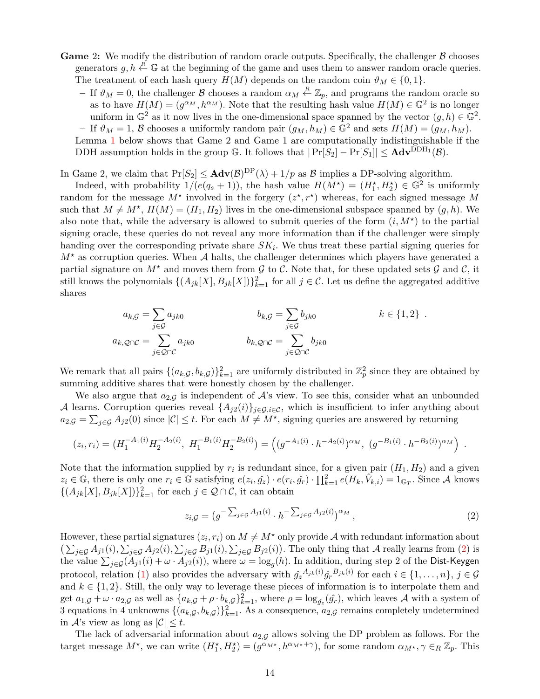- **Game** 2: We modify the distribution of random oracle outputs. Specifically, the challenger  $\beta$  chooses generators  $g, h \stackrel{R}{\leftarrow} \mathbb{G}$  at the beginning of the game and uses them to answer random oracle queries. The treatment of each hash query  $H(M)$  depends on the random coin  $\vartheta_M \in \{0,1\}.$ 
	- **–** If  $\vartheta_M = 0$ , the challenger  $\mathcal{B}$  chooses a random  $\alpha_M \stackrel{R}{\leftarrow} \mathbb{Z}_p$ , and programs the random oracle so as to have  $H(M) = (g^{\alpha_M}, h^{\alpha_M})$ . Note that the resulting hash value  $H(M) \in \mathbb{G}^2$  is no longer uniform in  $\mathbb{G}^2$  as it now lives in the one-dimensional space spanned by the vector  $(g, h) \in \mathbb{G}^2$ .  $-$  If  $\vartheta_M = 1$ ,  $\beta$  chooses a uniformly random pair  $(g_M, h_M) \in \mathbb{G}^2$  and sets  $H(M) = (g_M, h_M)$ . Lemma [1](#page-14-0) below shows that Game 2 and Game 1 are computationally indistinguishable if the DDH assumption holds in the group  $\mathbb{G}$ . It follows that  $|\Pr[S_2] - \Pr[S_1]| \leq \mathbf{Adv}^{\text{DDH}_1}(\mathcal{B})$ .

In Game 2, we claim that  $Pr[S_2] \leq \mathbf{Adv}(\mathcal{B})^{DP}(\lambda) + 1/p$  as  $\mathcal{B}$  implies a DP-solving algorithm.

Indeed, with probability  $1/(e(q_s+1))$ , the hash value  $H(M^*) = (H_1^*, H_2^*) \in \mathbb{G}^2$  is uniformly random for the message  $M^*$  involved in the forgery  $(z^*, r^*)$  whereas, for each signed message M such that  $M \neq M^*$ ,  $H(M) = (H_1, H_2)$  lives in the one-dimensional subspace spanned by  $(g, h)$ . We also note that, while the adversary is allowed to submit queries of the form  $(i, M^*)$  to the partial signing oracle, these queries do not reveal any more information than if the challenger were simply handing over the corresponding private share  $SK_i$ . We thus treat these partial signing queries for  $M^*$  as corruption queries. When A halts, the challenger determines which players have generated a partial signature on  $M^*$  and moves them from  $\mathcal G$  to  $\mathcal C$ . Note that, for these updated sets  $\mathcal G$  and  $\mathcal C$ , it still knows the polynomials  $\{(A_{jk}[X], B_{jk}[X])\}_{k=1}^2$  for all  $j \in \mathcal{C}$ . Let us define the aggregated additive shares

$$
a_{k,G} = \sum_{j \in \mathcal{G}} a_{jk0} \qquad b_{k,G} = \sum_{j \in \mathcal{G}} b_{jk0} \qquad k \in \{1,2\}.
$$
  

$$
a_{k,Q \cap \mathcal{C}} = \sum_{j \in \mathcal{Q} \cap \mathcal{C}} a_{jk0} \qquad b_{k,Q \cap \mathcal{C}} = \sum_{j \in \mathcal{Q} \cap \mathcal{C}} b_{jk0}
$$

We remark that all pairs  $\{(a_{k,G}, b_{k,G})\}_{k=1}^2$  are uniformly distributed in  $\mathbb{Z}_p^2$  since they are obtained by summing additive shares that were honestly chosen by the challenger.

We also argue that  $a_{2,G}$  is independent of  $\mathcal{A}$ 's view. To see this, consider what an unbounded A learns. Corruption queries reveal  $\{A_{j2}(i)\}_{j\in\mathcal{G},i\in\mathcal{C}}$ , which is insufficient to infer anything about  $a_{2,\mathcal{G}} = \sum_{j \in \mathcal{G}} A_{j2}(0)$  since  $|\mathcal{C}| \leq t$ . For each  $M \neq M^*$ , signing queries are answered by returning

$$
(z_i, r_i) = (H_1^{-A_1(i)} H_2^{-A_2(i)}, H_1^{-B_1(i)} H_2^{-B_2(i)}) = ((g^{-A_1(i)} \cdot h^{-A_2(i)})^{\alpha_M}, (g^{-B_1(i)} \cdot h^{-B_2(i)})^{\alpha_M}).
$$

Note that the information supplied by  $r_i$  is redundant since, for a given pair  $(H_1, H_2)$  and a given  $z_i \in \mathbb{G}$ , there is only one  $r_i \in \mathbb{G}$  satisfying  $e(z_i, \hat{g}_z) \cdot e(r_i, \hat{g}_r) \cdot \prod_{k=1}^2 e(H_k, \hat{V}_{k,i}) = 1_{\mathbb{G}_T}$ . Since A knows  $\{(A_{jk}[X], B_{jk}[X])\}_{k=1}^2$  for each  $j \in \mathcal{Q} \cap \mathcal{C}$ , it can obtain

<span id="page-13-0"></span>
$$
z_{i,\mathcal{G}} = (g^{-\sum_{j\in\mathcal{G}} A_{j1}(i)} \cdot h^{-\sum_{j\in\mathcal{G}} A_{j2}(i)})^{\alpha_M}, \qquad (2)
$$

However, these partial signatures  $(z_i, r_i)$  on  $M \neq M^*$  only provide A with redundant information about  $\left(\sum_{j\in\mathcal{G}}A_{j1}(i),\sum_{j\in\mathcal{G}}A_{j2}(i),\sum_{j\in\mathcal{G}}B_{j1}(i),\sum_{j\in\mathcal{G}}B_{j2}(i)\right)$ . The only thing that A really learns from [\(2\)](#page-13-0) is the value  $\sum_{j\in\mathcal{G}}(A_{j1}(i)+\omega\cdot A_{j2}(i))$ , where  $\omega=\log_g(h)$ . In addition, during step 2 of the Dist-Keygen protocol, relation [\(1\)](#page-6-0) also provides the adversary with  $\hat{g}_z^{A_{jk}(i)}\hat{g}_r^{B_{jk}(i)}$  for each  $i \in \{1, \ldots, n\}$ ,  $j \in \mathcal{G}$ and  $k \in \{1, 2\}$ . Still, the only way to leverage these pieces of information is to interpolate them and get  $a_{1,\mathcal{G}} + \omega \cdot a_{2,\mathcal{G}}$  as well as  $\{a_{k,\mathcal{G}} + \rho \cdot b_{k,\mathcal{G}}\}_{k=1}^2$ , where  $\rho = \log_{\hat{g}_z}(\hat{g}_r)$ , which leaves A with a system of 3 equations in 4 unknowns  $\{(a_{k,G}, b_{k,G})\}_{k=1}^2$ . As a consequence,  $a_{2,G}$  remains completely undetermined in  $\mathcal{A}$ 's view as long as  $|\mathcal{C}| \leq t$ .

The lack of adversarial information about  $a_{2,G}$  allows solving the DP problem as follows. For the target message  $M^*$ , we can write  $(H_1^*, H_2^*) = (g^{\alpha_{M^*}}, h^{\alpha_{M^*}+\gamma})$ , for some random  $\alpha_{M^*}, \gamma \in_R \mathbb{Z}_p$ . This